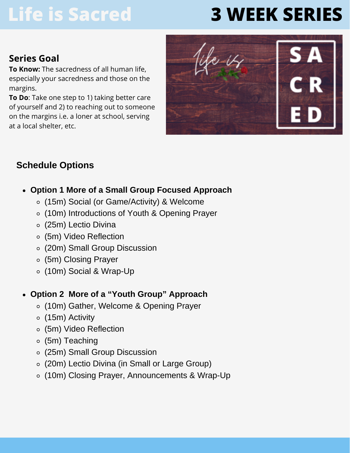# **Life is Sacred**

# **3 WEEK SERIES**

### **Series Goal**

**To Know:** The sacredness of all human life, especially your sacredness and those on the margins.

**To Do**: Take one step to 1) taking better care of yourself and 2) to reaching out to someone on the margins i.e. a loner at school, serving at a local shelter, etc.



## **Schedule Options**

- **Option 1 More of a Small Group Focused Approach**
	- (15m) Social (or Game/Activity) & Welcome
	- (10m) Introductions of Youth & Opening Prayer
	- (25m) Lectio Divina
	- (5m) Video Reflection
	- (20m) Small Group Discussion
	- (5m) Closing Prayer
	- (10m) Social & Wrap-Up

### **Option 2 More of a "Youth Group" Approach**

- (10m) Gather, Welcome & Opening Prayer
- (15m) Activity
- (5m) Video Reflection
- (5m) Teaching
- (25m) Small Group Discussion
- (20m) Lectio Divina (in Small or Large Group)
- (10m) Closing Prayer, Announcements & Wrap-Up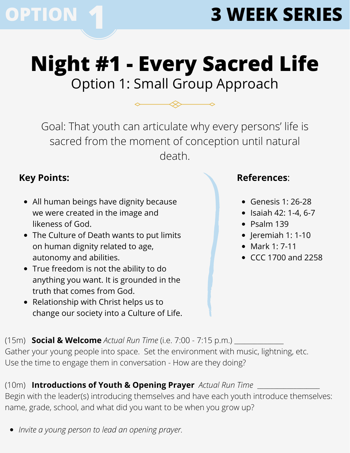

## **Night #1 - Every Sacred Life** Option 1: Small Group Approach

Goal: That youth can articulate why every persons' life is sacred from the moment of conception until natural death.

### **Key Points:**

- All human beings have dignity because we were created in the image and likeness of God.
- The Culture of Death wants to put limits on human dignity related to age, autonomy and abilities.
- True freedom is not the ability to do anything you want. It is grounded in the truth that comes from God.
- Relationship with Christ helps us to change our society into a Culture of Life.

### **References**:

- Genesis 1: 26-28
- $\bullet$  Isaiah 42: 1-4, 6-7
- $\bullet$  Psalm 139
- $\bullet$  |eremiah 1: 1-10
- Mark 1: 7-11
- CCC 1700 and 2258

(15m) **Social & Welcome** *Actual Run Time* (i.e. 7:00 - 7:15 p.m.) \_\_\_\_\_\_\_\_\_\_\_\_\_\_\_ Gather your young people into space. Set the environment with music, lightning, etc. Use the time to engage them in conversation - How are they doing?

### (10m) **Introductions of Youth & Opening Prayer** *Actual Run Time* \_\_\_\_\_\_\_\_\_\_\_\_\_\_\_\_\_\_\_

Begin with the leader(s) introducing themselves and have each youth introduce themselves: name, grade, school, and what did you want to be when you grow up?

*Invite a young person to lead an opening prayer.*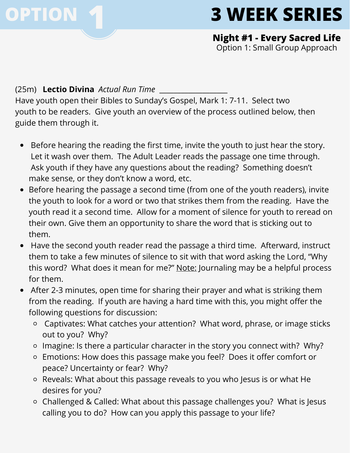

**Night #1 - Every Sacred Life** Option 1: Small Group Approach

#### (25m) **Lectio Divina** *Actual Run Time* \_\_\_\_\_\_\_\_\_\_\_\_\_\_\_\_\_\_\_

Have youth open their Bibles to Sunday's Gospel, Mark 1: 7-11. Select two youth to be readers. Give youth an overview of the process outlined below, then guide them through it.

- Before hearing the reading the first time, invite the youth to just hear the story. Let it wash over them. The Adult Leader reads the passage one time through. Ask youth if they have any questions about the reading? Something doesn't make sense, or they don't know a word, etc.
- Before hearing the passage a second time (from one of the youth readers), invite the youth to look for a word or two that strikes them from the reading. Have the youth read it a second time. Allow for a moment of silence for youth to reread on their own. Give them an opportunity to share the word that is sticking out to them.
- Have the second youth reader read the passage a third time. Afterward, instruct them to take a few minutes of silence to sit with that word asking the Lord, "Why this word? What does it mean for me?" Note: Journaling may be a helpful process for them.
- After 2-3 minutes, open time for sharing their prayer and what is striking them from the reading. If youth are having a hard time with this, you might offer the following questions for discussion:
	- Captivates: What catches your attention? What word, phrase, or image sticks out to you? Why?
	- Imagine: Is there a particular character in the story you connect with? Why?
	- Emotions: How does this passage make you feel? Does it offer comfort or peace? Uncertainty or fear? Why?
	- Reveals: What about this passage reveals to you who Jesus is or what He desires for you?
	- Challenged & Called: What about this passage challenges you? What is Jesus calling you to do? How can you apply this passage to your life?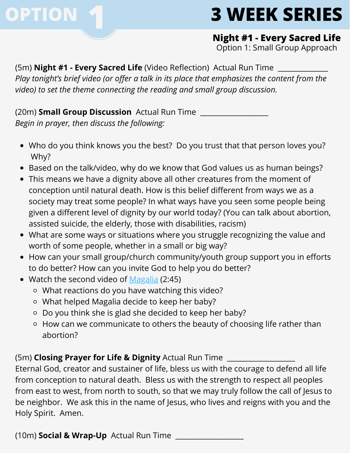

**Night #1 - Every Sacred Life**

Option 1: Small Group Approach

(5m) **Night #1 - Every Sacred Life** (Video Reflection) Actual Run Time \_\_\_\_\_\_\_\_\_\_\_\_\_\_ *Play tonight's brief video (or offer a talk in its place that emphasizes the content from the video) to set the theme connecting the reading and small group discussion.*

(20m) **Small Group Discussion** Actual Run Time \_\_\_\_\_\_\_\_\_\_\_\_\_\_\_\_\_\_\_ *Begin in prayer, then discuss the following:*

- Who do you think knows you the best? Do you trust that that person loves you? Why?
- Based on the talk/video, why do we know that God values us as human beings?
- This means we have a dignity above all other creatures from the moment of conception until natural death. How is this belief different from ways we as a society may treat some people? In what ways have you seen some people being given a different level of dignity by our world today? (You can talk about abortion, assisted suicide, the elderly, those with disabilities, racism)
- What are some ways or situations where you struggle recognizing the value and worth of some people, whether in a small or big way?
- How can your small group/church community/youth group support you in efforts to do better? How can you invite God to help you do better?
- Watch the second video of [Magalia](https://drive.google.com/file/d/1Xl9ClkPj5Xj4bwzfywZAmM-JnB0S2oGi/view) (2:45)
	- What reactions do you have watching this video?
	- What helped Magalia decide to keep her baby?
	- Do you think she is glad she decided to keep her baby?
	- How can we communicate to others the beauty of choosing life rather than abortion?

(5m) **Closing Prayer for Life & Dignity** Actual Run Time \_\_\_\_\_\_\_\_\_\_\_\_\_\_\_\_\_\_\_

Eternal God, creator and sustainer of life, bless us with the courage to defend all life from conception to natural death. Bless us with the strength to respect all peoples from east to west, from north to south, so that we may truly follow the call of Jesus to be neighbor. We ask this in the name of Jesus, who lives and reigns with you and the Holy Spirit. Amen.

(10m) **Social & Wrap-Up** Actual Run Time \_\_\_\_\_\_\_\_\_\_\_\_\_\_\_\_\_\_\_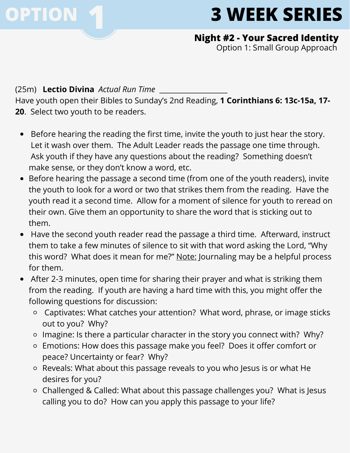

#### **Night #2 - Your Sacred Identity**

Option 1: Small Group Approach

#### (25m) **Lectio Divina** *Actual Run Time* \_\_\_\_\_\_\_\_\_\_\_\_\_\_\_\_\_\_\_

Have youth open their Bibles to Sunday's 2nd Reading, **1 Corinthians 6: 13c-15a, 17- 20**. Select two youth to be readers.

- Before hearing the reading the first time, invite the youth to just hear the story. Let it wash over them. The Adult Leader reads the passage one time through. Ask youth if they have any questions about the reading? Something doesn't make sense, or they don't know a word, etc.
- Before hearing the passage a second time (from one of the youth readers), invite the youth to look for a word or two that strikes them from the reading. Have the youth read it a second time. Allow for a moment of silence for youth to reread on their own. Give them an opportunity to share the word that is sticking out to them.
- Have the second youth reader read the passage a third time. Afterward, instruct them to take a few minutes of silence to sit with that word asking the Lord, "Why this word? What does it mean for me?" Note: Journaling may be a helpful process for them.
- After 2-3 minutes, open time for sharing their prayer and what is striking them from the reading. If youth are having a hard time with this, you might offer the following questions for discussion:
	- Captivates: What catches your attention? What word, phrase, or image sticks out to you? Why?
	- Imagine: Is there a particular character in the story you connect with? Why?
	- Emotions: How does this passage make you feel? Does it offer comfort or peace? Uncertainty or fear? Why?
	- Reveals: What about this passage reveals to you who Jesus is or what He desires for you?
	- Challenged & Called: What about this passage challenges you? What is Jesus calling you to do? How can you apply this passage to your life?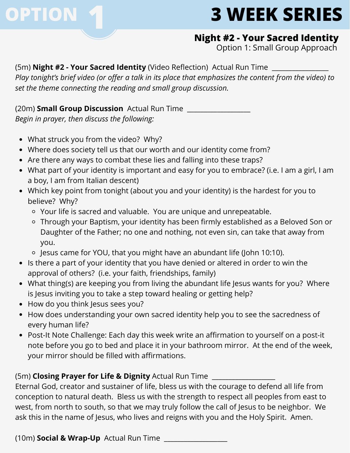

### **Night #2 - Your Sacred Identity**

Option 1: Small Group Approach

(5m) **Night #2 - Your Sacred Identity** (Video Reflection) Actual Run Time \_\_\_\_\_\_\_\_\_\_\_\_\_\_\_\_\_ Play tonight's brief video (or offer a talk in its place that emphasizes the content from the video) to *set the theme connecting the reading and small group discussion.*

(20m) **Small Group Discussion** Actual Run Time \_\_\_\_\_\_\_\_\_\_\_\_\_\_\_\_\_\_\_ *Begin in prayer, then discuss the following:*

- What struck you from the video? Why?
- Where does society tell us that our worth and our identity come from?
- Are there any ways to combat these lies and falling into these traps?
- What part of your identity is important and easy for you to embrace? (i.e. I am a girl, I am a boy, I am from Italian descent)
- Which key point from tonight (about you and your identity) is the hardest for you to believe? Why?
	- Your life is sacred and valuable. You are unique and unrepeatable.
	- Through your Baptism, your identity has been firmly established as a Beloved Son or Daughter of the Father; no one and nothing, not even sin, can take that away from you.
	- Jesus came for YOU, that you might have an abundant life (John 10:10).
- Is there a part of your identity that you have denied or altered in order to win the approval of others? (i.e. your faith, friendships, family)
- What thing(s) are keeping you from living the abundant life Jesus wants for you? Where is Jesus inviting you to take a step toward healing or getting help?
- How do you think Jesus sees you?
- How does understanding your own sacred identity help you to see the sacredness of every human life?
- Post-It Note Challenge: Each day this week write an affirmation to yourself on a post-it note before you go to bed and place it in your bathroom mirror. At the end of the week, your mirror should be filled with affirmations.

#### (5m) **Closing Prayer for Life & Dignity** Actual Run Time \_\_\_\_\_\_\_\_\_\_\_\_\_\_\_\_\_\_\_

Eternal God, creator and sustainer of life, bless us with the courage to defend all life from conception to natural death. Bless us with the strength to respect all peoples from east to west, from north to south, so that we may truly follow the call of Jesus to be neighbor. We ask this in the name of Jesus, who lives and reigns with you and the Holy Spirit. Amen.

(10m) **Social & Wrap-Up** Actual Run Time \_\_\_\_\_\_\_\_\_\_\_\_\_\_\_\_\_\_\_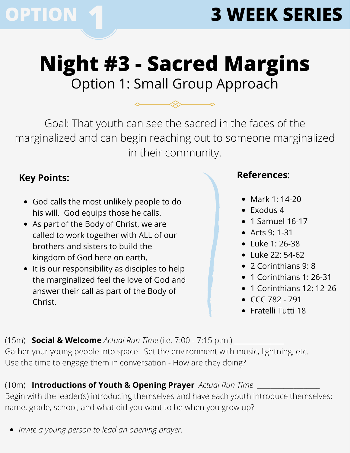

## **Night #3 - Sacred Margins** Option 1: Small Group Approach

Goal: That youth can see the sacred in the faces of the marginalized and can begin reaching out to someone marginalized in their community.

## **Key Points:**

- God calls the most unlikely people to do his will. God equips those he calls.
- As part of the Body of Christ, we are called to work together with ALL of our brothers and sisters to build the kingdom of God here on earth.
- It is our responsibility as disciples to help the marginalized feel the love of God and answer their call as part of the Body of Christ.

### **References**:

- Mark 1: 14-20
- $\bullet$  Exodus 4
- $\bullet$  1 Samuel 16-17
- Acts 9: 1-31
- Luke 1: 26-38
- Luke 22: 54-62
- 2 Corinthians 9: 8
- 1 Corinthians 1: 26-31
- 1 Corinthians 12: 12-26
- CCC 782 791
- Fratelli Tutti 18

(15m) **Social & Welcome** *Actual Run Time* (i.e. 7:00 - 7:15 p.m.) \_\_\_\_\_\_\_\_\_\_\_\_\_\_\_ Gather your young people into space. Set the environment with music, lightning, etc. Use the time to engage them in conversation - How are they doing?

## (10m) **Introductions of Youth & Opening Prayer** *Actual Run Time* \_\_\_\_\_\_\_\_\_\_\_\_\_\_\_\_\_\_\_

Begin with the leader(s) introducing themselves and have each youth introduce themselves: name, grade, school, and what did you want to be when you grow up?

*Invite a young person to lead an opening prayer.*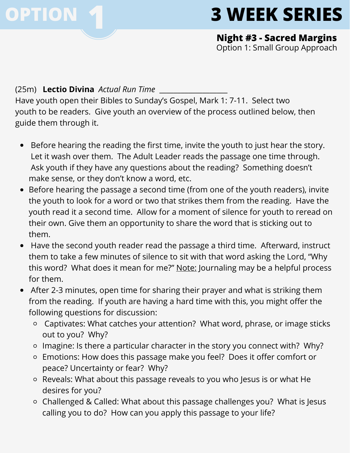

**Night #3 - Sacred Margins** Option 1: Small Group Approach

(25m) **Lectio Divina** *Actual Run Time* \_\_\_\_\_\_\_\_\_\_\_\_\_\_\_\_\_\_\_

Have youth open their Bibles to Sunday's Gospel, Mark 1: 7-11. Select two youth to be readers. Give youth an overview of the process outlined below, then guide them through it.

- Before hearing the reading the first time, invite the youth to just hear the story. Let it wash over them. The Adult Leader reads the passage one time through. Ask youth if they have any questions about the reading? Something doesn't make sense, or they don't know a word, etc.
- Before hearing the passage a second time (from one of the youth readers), invite the youth to look for a word or two that strikes them from the reading. Have the youth read it a second time. Allow for a moment of silence for youth to reread on their own. Give them an opportunity to share the word that is sticking out to them.
- Have the second youth reader read the passage a third time. Afterward, instruct them to take a few minutes of silence to sit with that word asking the Lord, "Why this word? What does it mean for me?" Note: Journaling may be a helpful process for them.
- After 2-3 minutes, open time for sharing their prayer and what is striking them from the reading. If youth are having a hard time with this, you might offer the following questions for discussion:
	- Captivates: What catches your attention? What word, phrase, or image sticks out to you? Why?
	- Imagine: Is there a particular character in the story you connect with? Why?
	- Emotions: How does this passage make you feel? Does it offer comfort or peace? Uncertainty or fear? Why?
	- Reveals: What about this passage reveals to you who Jesus is or what He desires for you?
	- Challenged & Called: What about this passage challenges you? What is Jesus calling you to do? How can you apply this passage to your life?